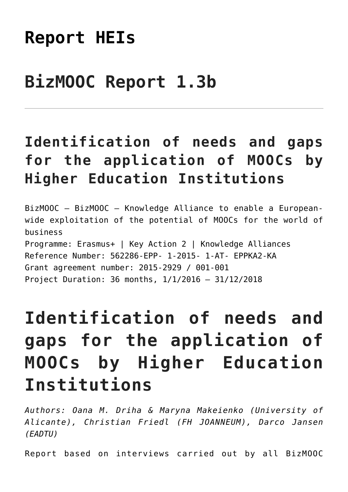# **[Report HEIs](https://bizmooc.eu/mooc-manual/needs-and-gaps-to-moocs/report-heis/)**

# **BizMOOC Report 1.3b**

### **Identification of needs and gaps for the application of MOOCs by Higher Education Institutions**

BizMOOC – BizMOOC – Knowledge Alliance to enable a Europeanwide exploitation of the potential of MOOCs for the world of business Programme: Erasmus+ | Key Action 2 | Knowledge Alliances Reference Number: 562286-EPP- 1-2015- 1-AT- EPPKA2-KA Grant agreement number: 2015-2929 / 001-001 Project Duration: 36 months, 1/1/2016 – 31/12/2018

# **Identification of needs and gaps for the application of MOOCs by Higher Education Institutions**

*Authors: Oana M. Driha & Maryna Makeienko (University of Alicante), Christian Friedl (FH JOANNEUM), Darco Jansen (EADTU)*

Report based on interviews carried out by all BizMOOC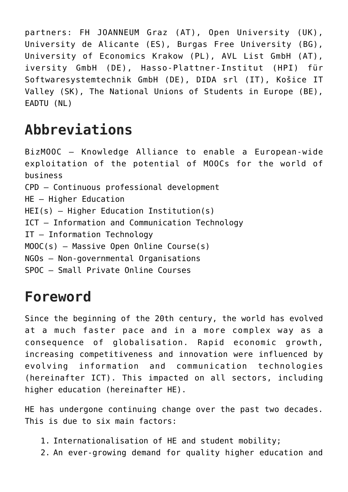partners: FH JOANNEUM Graz (AT), Open University (UK), University de Alicante (ES), Burgas Free University (BG), University of Economics Krakow (PL), AVL List GmbH (AT), iversity GmbH (DE), Hasso-Plattner-Institut (HPI) für Softwaresystemtechnik GmbH (DE), DIDA srl (IT), Košice IT Valley (SK), The National Unions of Students in Europe (BE), EADTU (NL)

### **Abbreviations**

BizMOOC – Knowledge Alliance to enable a European-wide exploitation of the potential of MOOCs for the world of business CPD – Continuous professional development HE – Higher Education HEI(s) – Higher Education Institution(s) ICT – Information and Communication Technology IT – Information Technology MOOC(s) – Massive Open Online Course(s) NGOs – Non-governmental Organisations SPOC – Small Private Online Courses

#### **Foreword**

Since the beginning of the 20th century, the world has evolved at a much faster pace and in a more complex way as a consequence of globalisation. Rapid economic growth, increasing competitiveness and innovation were influenced by evolving information and communication technologies (hereinafter ICT). This impacted on all sectors, including higher education (hereinafter HE).

HE has undergone continuing change over the past two decades. This is due to six main factors:

- 1. Internationalisation of HE and student mobility;
- 2. An ever-growing demand for quality higher education and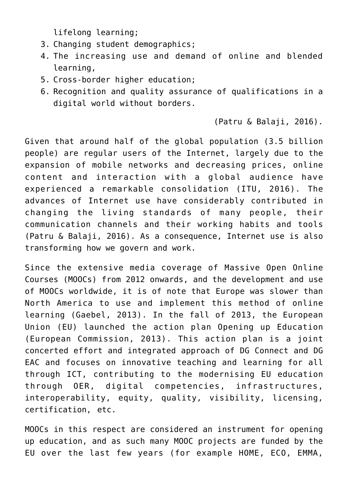lifelong learning;

- 3. Changing student demographics;
- 4. The increasing use and demand of online and blended learning,
- 5. Cross-border higher education;
- 6. Recognition and quality assurance of qualifications in a digital world without borders.

(Patru & Balaji, 2016).

Given that around half of the global population (3.5 billion people) are regular users of the Internet, largely due to the expansion of mobile networks and decreasing prices, online content and interaction with a global audience have experienced a remarkable consolidation (ITU, 2016). The advances of Internet use have considerably contributed in changing the living standards of many people, their communication channels and their working habits and tools (Patru & Balaji, 2016). As a consequence, Internet use is also transforming how we govern and work.

Since the extensive media coverage of Massive Open Online Courses (MOOCs) from 2012 onwards, and the development and use of MOOCs worldwide, it is of note that Europe was slower than North America to use and implement this method of online learning (Gaebel, 2013). In the fall of 2013, the European Union (EU) launched the action plan Opening up Education (European Commission, 2013). This action plan is a joint concerted effort and integrated approach of DG Connect and DG EAC and focuses on innovative teaching and learning for all through ICT, contributing to the modernising EU education through OER, digital competencies, infrastructures, interoperability, equity, quality, visibility, licensing, certification, etc.

MOOCs in this respect are considered an instrument for opening up education, and as such many MOOC projects are funded by the EU over the last few years (for example HOME, ECO, EMMA,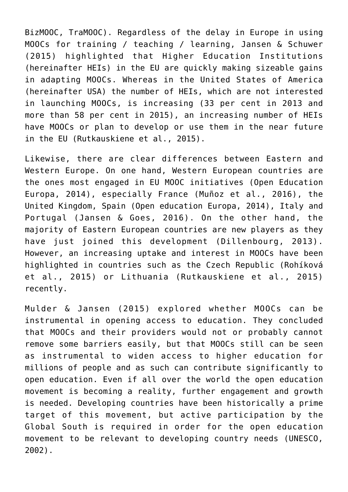BizMOOC, TraMOOC). Regardless of the delay in Europe in using MOOCs for training / teaching / learning, Jansen & Schuwer (2015) highlighted that Higher Education Institutions (hereinafter HEIs) in the EU are quickly making sizeable gains in adapting MOOCs. Whereas in the United States of America (hereinafter USA) the number of HEIs, which are not interested in launching MOOCs, is increasing (33 per cent in 2013 and more than 58 per cent in 2015), an increasing number of HEIs have MOOCs or plan to develop or use them in the near future in the EU (Rutkauskiene et al., 2015).

Likewise, there are clear differences between Eastern and Western Europe. On one hand, Western European countries are the ones most engaged in EU MOOC initiatives (Open Education Europa, 2014), especially France (Muñoz et al., 2016), the United Kingdom, Spain (Open education Europa, 2014), Italy and Portugal (Jansen & Goes, 2016). On the other hand, the majority of Eastern European countries are new players as they have just joined this development (Dillenbourg, 2013). However, an increasing uptake and interest in MOOCs have been highlighted in countries such as the Czech Republic (Rohíková et al., 2015) or Lithuania (Rutkauskiene et al., 2015) recently.

Mulder & Jansen (2015) explored whether MOOCs can be instrumental in opening access to education. They concluded that MOOCs and their providers would not or probably cannot remove some barriers easily, but that MOOCs still can be seen as instrumental to widen access to higher education for millions of people and as such can contribute significantly to open education. Even if all over the world the open education movement is becoming a reality, further engagement and growth is needed. Developing countries have been historically a prime target of this movement, but active participation by the Global South is required in order for the open education movement to be relevant to developing country needs (UNESCO, 2002).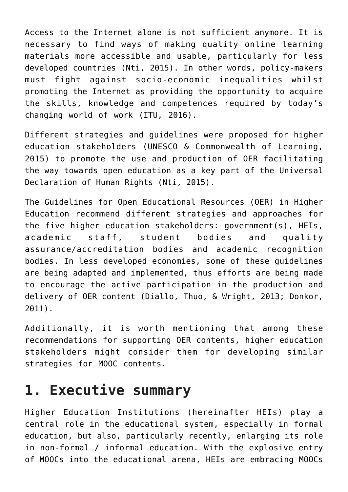Access to the Internet alone is not sufficient anymore. It is necessary to find ways of making quality online learning materials more accessible and usable, particularly for less developed countries (Nti, 2015). In other words, policy-makers must fight against socio-economic inequalities whilst promoting the Internet as providing the opportunity to acquire the skills, knowledge and competences required by today's changing world of work (ITU, 2016).

Different strategies and guidelines were proposed for higher education stakeholders (UNESCO & Commonwealth of Learning, 2015) to promote the use and production of OER facilitating the way towards open education as a key part of the Universal Declaration of Human Rights (Nti, 2015).

The Guidelines for Open Educational Resources (OER) in Higher Education recommend different strategies and approaches for the five higher education stakeholders: government(s), HEIs, academic staff, student bodies and quality assurance/accreditation bodies and academic recognition bodies. In less developed economies, some of these guidelines are being adapted and implemented, thus efforts are being made to encourage the active participation in the production and delivery of OER content (Diallo, Thuo, & Wright, 2013; Donkor, 2011).

Additionally, it is worth mentioning that among these recommendations for supporting OER contents, higher education stakeholders might consider them for developing similar strategies for MOOC contents.

### **1. Executive summary**

Higher Education Institutions (hereinafter HEIs) play a central role in the educational system, especially in formal education, but also, particularly recently, enlarging its role in non-formal / informal education. With the explosive entry of MOOCs into the educational arena, HEIs are embracing MOOCs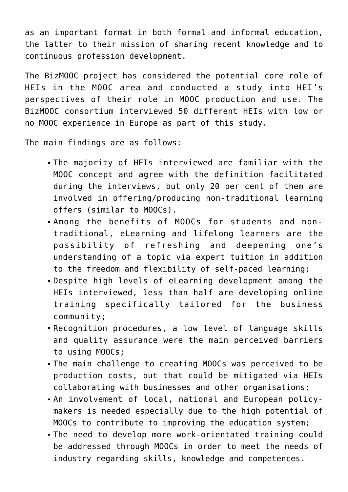as an important format in both formal and informal education, the latter to their mission of sharing recent knowledge and to continuous profession development.

The BizMOOC project has considered the potential core role of HEIs in the MOOC area and conducted a study into HEI's perspectives of their role in MOOC production and use. The BizMOOC consortium interviewed 50 different HEIs with low or no MOOC experience in Europe as part of this study.

The main findings are as follows:

- The majority of HEIs interviewed are familiar with the MOOC concept and agree with the definition facilitated during the interviews, but only 20 per cent of them are involved in offering/producing non-traditional learning offers (similar to MOOCs).
- Among the benefits of MOOCs for students and nontraditional, eLearning and lifelong learners are the possibility of refreshing and deepening one's understanding of a topic via expert tuition in addition to the freedom and flexibility of self-paced learning;
- Despite high levels of eLearning development among the HEIs interviewed, less than half are developing online training specifically tailored for the business community;
- Recognition procedures, a low level of language skills and quality assurance were the main perceived barriers to using MOOCs;
- The main challenge to creating MOOCs was perceived to be production costs, but that could be mitigated via HEIs collaborating with businesses and other organisations;
- An involvement of local, national and European policymakers is needed especially due to the high potential of MOOCs to contribute to improving the education system;
- The need to develop more work-orientated training could be addressed through MOOCs in order to meet the needs of industry regarding skills, knowledge and competences.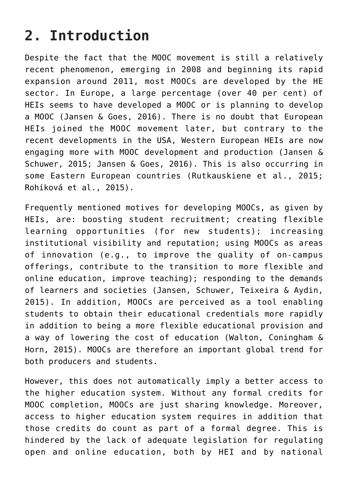### **2. Introduction**

Despite the fact that the MOOC movement is still a relatively recent phenomenon, emerging in 2008 and beginning its rapid expansion around 2011, most MOOCs are developed by the HE sector. In Europe, a large percentage (over 40 per cent) of HEIs seems to have developed a MOOC or is planning to develop a MOOC (Jansen & Goes, 2016). There is no doubt that European HEIs joined the MOOC movement later, but contrary to the recent developments in the USA, Western European HEIs are now engaging more with MOOC development and production (Jansen & Schuwer, 2015; Jansen & Goes, 2016). This is also occurring in some Eastern European countries (Rutkauskiene et al., 2015; Rohíková et al., 2015).

Frequently mentioned motives for developing MOOCs, as given by HEIs, are: boosting student recruitment; creating flexible learning opportunities (for new students); increasing institutional visibility and reputation; using MOOCs as areas of innovation (e.g., to improve the quality of on-campus offerings, contribute to the transition to more flexible and online education, improve teaching); responding to the demands of learners and societies (Jansen, Schuwer, Teixeira & Aydin, 2015). In addition, MOOCs are perceived as a tool enabling students to obtain their educational credentials more rapidly in addition to being a more flexible educational provision and a way of lowering the cost of education (Walton, Coningham & Horn, 2015). MOOCs are therefore an important global trend for both producers and students.

However, this does not automatically imply a better access to the higher education system. Without any formal credits for MOOC completion, MOOCs are just sharing knowledge. Moreover, access to higher education system requires in addition that those credits do count as part of a formal degree. This is hindered by the lack of adequate legislation for regulating open and online education, both by HEI and by national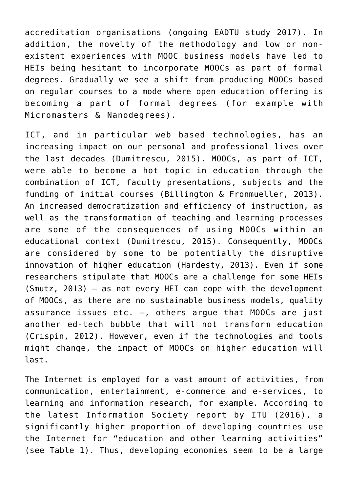accreditation organisations (ongoing EADTU study 2017). In addition, the novelty of the methodology and low or nonexistent experiences with MOOC business models have led to HEIs being hesitant to incorporate MOOCs as part of formal degrees. Gradually we see a shift from producing MOOCs based on regular courses to a mode where open education offering is becoming a part of formal degrees (for example with Micromasters & Nanodegrees).

ICT, and in particular web based technologies, has an increasing impact on our personal and professional lives over the last decades (Dumitrescu, 2015). MOOCs, as part of ICT, were able to become a hot topic in education through the combination of ICT, faculty presentations, subjects and the funding of initial courses (Billington & Fronmueller, 2013). An increased democratization and efficiency of instruction, as well as the transformation of teaching and learning processes are some of the consequences of using MOOCs within an educational context (Dumitrescu, 2015). Consequently, MOOCs are considered by some to be potentially the disruptive innovation of higher education (Hardesty, 2013). Even if some researchers stipulate that MOOCs are a challenge for some HEIs (Smutz, 2013) – as not every HEI can cope with the development of MOOCs, as there are no sustainable business models, quality assurance issues etc.  $-$ , others argue that MOOCs are just another ed-tech bubble that will not transform education (Crispin, 2012). However, even if the technologies and tools might change, the impact of MOOCs on higher education will last.

The Internet is employed for a vast amount of activities, from communication, entertainment, e-commerce and e-services, to learning and information research, for example. According to the latest Information Society report by ITU (2016), a significantly higher proportion of developing countries use the Internet for "education and other learning activities" (see Table 1). Thus, developing economies seem to be a large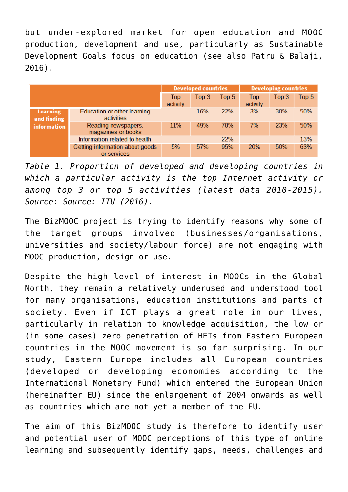but under-explored market for open education and MOOC production, development and use, particularly as Sustainable Development Goals focus on education (see also Patru & Balaji, 2016).

|                         |                                                | <b>Developed countries</b> |       | <b>Developing countries</b> |                        |       |       |
|-------------------------|------------------------------------------------|----------------------------|-------|-----------------------------|------------------------|-------|-------|
|                         |                                                | Top<br>activity            | Top 3 | Top 5                       | <b>Top</b><br>activity | Top 3 | Top 5 |
| Learning<br>and finding | Education or other learning<br>activities      |                            | 16%   | <b>22%</b>                  | 3%                     | 30%   | 50%   |
| information             | Reading newspapers,<br>magazines or books      | 11%                        | 49%   | 78%                         | 7%                     | 23%   | 50%   |
|                         | Information related to health                  |                            |       | 22%                         |                        |       | 13%   |
|                         | Getting information about goods<br>or services | 5%                         | 57%   | 95%                         | 20%                    | 50%   | 63%   |

*Table 1. Proportion of developed and developing countries in which a particular activity is the top Internet activity or among top 3 or top 5 activities (latest data 2010-2015). Source: Source: ITU (2016).*

The BizMOOC project is trying to identify reasons why some of the target groups involved (businesses/organisations, universities and society/labour force) are not engaging with MOOC production, design or use.

Despite the high level of interest in MOOCs in the Global North, they remain a relatively underused and understood tool for many organisations, education institutions and parts of society. Even if ICT plays a great role in our lives, particularly in relation to knowledge acquisition, the low or (in some cases) zero penetration of HEIs from Eastern European countries in the MOOC movement is so far surprising. In our study, Eastern Europe includes all European countries (developed or developing economies according to the International Monetary Fund) which entered the European Union (hereinafter EU) since the enlargement of 2004 onwards as well as countries which are not yet a member of the EU.

The aim of this BizMOOC study is therefore to identify user and potential user of MOOC perceptions of this type of online learning and subsequently identify gaps, needs, challenges and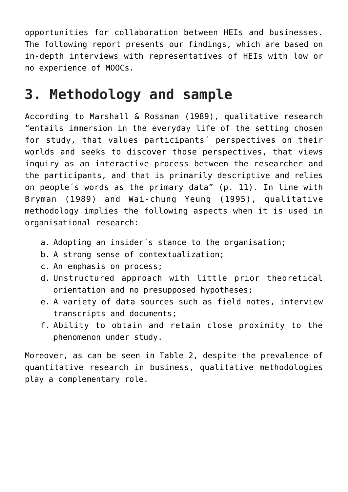opportunities for collaboration between HEIs and businesses. The following report presents our findings, which are based on in-depth interviews with representatives of HEIs with low or no experience of MOOCs.

#### **3. Methodology and sample**

According to Marshall & Rossman (1989), qualitative research "entails immersion in the everyday life of the setting chosen for study, that values participants´ perspectives on their worlds and seeks to discover those perspectives, that views inquiry as an interactive process between the researcher and the participants, and that is primarily descriptive and relies on people´s words as the primary data" (p. 11). In line with Bryman (1989) and Wai-chung Yeung (1995), qualitative methodology implies the following aspects when it is used in organisational research:

- a. Adopting an insider´s stance to the organisation;
- b. A strong sense of contextualization;
- c. An emphasis on process;
- d. Unstructured approach with little prior theoretical orientation and no presupposed hypotheses;
- e. A variety of data sources such as field notes, interview transcripts and documents;
- f. Ability to obtain and retain close proximity to the phenomenon under study.

Moreover, as can be seen in Table 2, despite the prevalence of quantitative research in business, qualitative methodologies play a complementary role.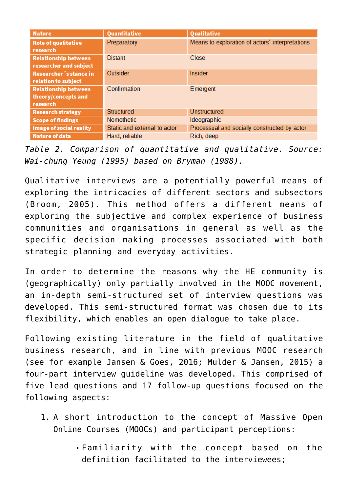| <b>Nature</b>                                                  | Quantitative                 | Qualitative                                     |
|----------------------------------------------------------------|------------------------------|-------------------------------------------------|
| <b>Role of qualitative</b><br>research                         | Preparatory                  | Means to exploration of actors' interpretations |
| <b>Relationship between</b><br>researcher and subject          | <b>Distant</b>               | Close                                           |
| Researcher's stance in<br>relation to subject                  | Outsider                     | <b>Insider</b>                                  |
| <b>Relationship between</b><br>theory/concepts and<br>research | Confirmation                 | Emergent                                        |
| <b>Research strategy</b>                                       | Structured                   | Unstructured                                    |
| <b>Scope of findings</b>                                       | <b>Nomothetic</b>            | <b>Ideographic</b>                              |
| Image of social reality                                        | Static and external to actor | Processual and socially constructed by actor    |
| <b>Nature of data</b>                                          | Hard, reliable               | Rich, deep                                      |

*Table 2. Comparison of quantitative and qualitative. Source: Wai-chung Yeung (1995) based on Bryman (1988).*

Qualitative interviews are a potentially powerful means of exploring the intricacies of different sectors and subsectors (Broom, 2005). This method offers a different means of exploring the subjective and complex experience of business communities and organisations in general as well as the specific decision making processes associated with both strategic planning and everyday activities.

In order to determine the reasons why the HE community is (geographically) only partially involved in the MOOC movement, an in-depth semi-structured set of interview questions was developed. This semi-structured format was chosen due to its flexibility, which enables an open dialogue to take place.

Following existing literature in the field of qualitative business research, and in line with previous MOOC research (see for example Jansen & Goes, 2016; Mulder & Jansen, 2015) a four-part interview guideline was developed. This comprised of five lead questions and 17 follow-up questions focused on the following aspects:

- 1. A short introduction to the concept of Massive Open Online Courses (MOOCs) and participant perceptions:
	- Familiarity with the concept based on the definition facilitated to the interviewees;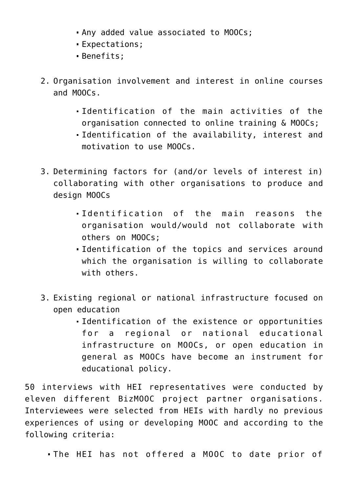- . Any added value associated to MOOCs;
- Expectations;
- Benefits;
- 2. Organisation involvement and interest in online courses and MOOCs.
	- Identification of the main activities of the organisation connected to online training & MOOCs;
	- Identification of the availability, interest and motivation to use MOOCs.
- 3. Determining factors for (and/or levels of interest in) collaborating with other organisations to produce and design MOOCs
	- Identification of the main reasons the organisation would/would not collaborate with others on MOOCs;
	- Identification of the topics and services around which the organisation is willing to collaborate with others.
- 3. Existing regional or national infrastructure focused on open education
	- Identification of the existence or opportunities for a regional or national educational infrastructure on MOOCs, or open education in general as MOOCs have become an instrument for educational policy.

50 interviews with HEI representatives were conducted by eleven different BizMOOC project partner organisations. Interviewees were selected from HEIs with hardly no previous experiences of using or developing MOOC and according to the following criteria:

The HEI has not offered a MOOC to date prior of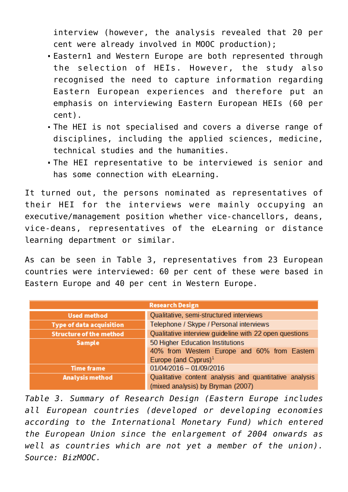interview (however, the analysis revealed that 20 per cent were already involved in MOOC production);

- Eastern1 and Western Europe are both represented through the selection of HEIs. However, the study also recognised the need to capture information regarding Eastern European experiences and therefore put an emphasis on interviewing Eastern European HEIs (60 per cent).
- The HEI is not specialised and covers a diverse range of disciplines, including the applied sciences, medicine, technical studies and the humanities.
- The HEI representative to be interviewed is senior and has some connection with eLearning.

It turned out, the persons nominated as representatives of their HEI for the interviews were mainly occupying an executive/management position whether vice-chancellors, deans, vice-deans, representatives of the eLearning or distance learning department or similar.

As can be seen in Table 3, representatives from 23 European countries were interviewed: 60 per cent of these were based in Eastern Europe and 40 per cent in Western Europe.

| <b>Research Design</b>          |                                                        |  |  |
|---------------------------------|--------------------------------------------------------|--|--|
| <b>Used method</b>              | Qualitative, semi-structured interviews                |  |  |
| <b>Type of data acquisition</b> | Telephone / Skype / Personal interviews                |  |  |
| <b>Structure of the method</b>  | Qualitative interview guideline with 22 open questions |  |  |
| <b>Sample</b>                   | 50 Higher Education Institutions                       |  |  |
|                                 | 40% from Western Europe and 60% from Eastern           |  |  |
|                                 | Europe (and Cyprus) $1$                                |  |  |
| <b>Time frame</b>               | $01/04/2016 - 01/09/2016$                              |  |  |
| Analysis method                 | Qualitative content analysis and quantitative analysis |  |  |
|                                 | (mixed analysis) by Bryman (2007)                      |  |  |

*Table 3. Summary of Research Design (Eastern Europe includes all European countries (developed or developing economies according to the International Monetary Fund) which entered the European Union since the enlargement of 2004 onwards as well as countries which are not yet a member of the union). Source: BizMOOC.*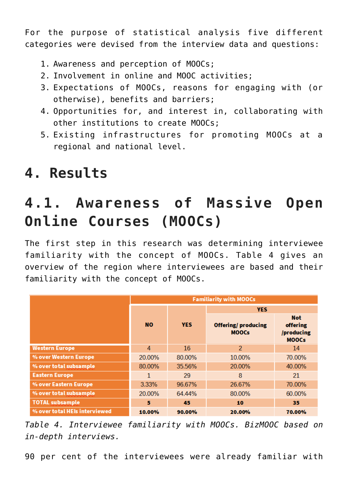For the purpose of statistical analysis five different categories were devised from the interview data and questions:

- 1. Awareness and perception of MOOCs;
- 2. Involvement in online and MOOC activities;
- 3. Expectations of MOOCs, reasons for engaging with (or otherwise), benefits and barriers;
- 4. Opportunities for, and interest in, collaborating with other institutions to create MOOCs;
- 5. Existing infrastructures for promoting MOOCs at a regional and national level.

# **4. Results**

### **4.1. Awareness of Massive Open Online Courses (MOOCs)**

The first step in this research was determining interviewee familiarity with the concept of MOOCs. Table 4 gives an overview of the region where interviewees are based and their familiarity with the concept of MOOCs.

|                               | <b>Familiarity with MOOCs</b> |            |                                           |                                                      |  |
|-------------------------------|-------------------------------|------------|-------------------------------------------|------------------------------------------------------|--|
|                               |                               |            | <b>YES</b>                                |                                                      |  |
|                               | <b>NO</b>                     | <b>YES</b> | <b>Offering/producing</b><br><b>MOOCs</b> | <b>Not</b><br>offering<br>/producing<br><b>MOOCs</b> |  |
| <b>Western Europe</b>         | 4                             | 16         | 2                                         | 14                                                   |  |
| % over Western Europe         | 20.00%                        | 80.00%     | 10.00%                                    | 70.00%                                               |  |
| % over total subsample        | 80.00%                        | 35.56%     | 20.00%                                    | 40.00%                                               |  |
| <b>Eastern Europe</b>         | 1                             | 29         | 8                                         | 21                                                   |  |
| % over Eastern Europe         | 3.33%                         | 96.67%     | 26.67%                                    | 70.00%                                               |  |
| % over total subsample        | 20.00%                        | 64.44%     | 80.00%                                    | 60.00%                                               |  |
| <b>TOTAL subsample</b>        | 5                             | 45         | 10                                        | 35                                                   |  |
| % over total HEIs interviewed | 10.00%                        | 90.00%     | 20.00%                                    | 70.00%                                               |  |

*Table 4. Interviewee familiarity with MOOCs. BizMOOC based on in-depth interviews.*

90 per cent of the interviewees were already familiar with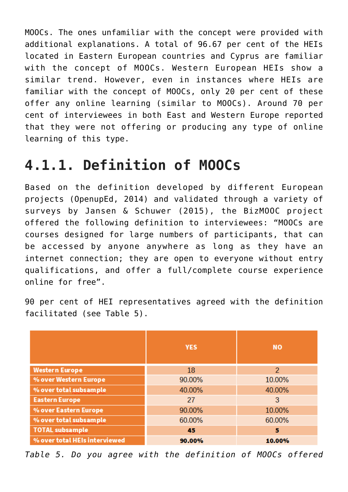MOOCs. The ones unfamiliar with the concept were provided with additional explanations. A total of 96.67 per cent of the HEIs located in Eastern European countries and Cyprus are familiar with the concept of MOOCs. Western European HEIs show a similar trend. However, even in instances where HEIs are familiar with the concept of MOOCs, only 20 per cent of these offer any online learning (similar to MOOCs). Around 70 per cent of interviewees in both East and Western Europe reported that they were not offering or producing any type of online learning of this type.

### **4.1.1. Definition of MOOCs**

Based on the definition developed by different European projects (OpenupEd, 2014) and validated through a variety of surveys by Jansen & Schuwer (2015), the BizMOOC project offered the following definition to interviewees: "MOOCs are courses designed for large numbers of participants, that can be accessed by anyone anywhere as long as they have an internet connection; they are open to everyone without entry qualifications, and offer a full/complete course experience online for free".

90 per cent of HEI representatives agreed with the definition facilitated (see Table 5).

|                               | <b>YES</b> | <b>NO</b>      |
|-------------------------------|------------|----------------|
| <b>Western Europe</b>         | 18         | $\overline{2}$ |
| % over Western Europe         | 90.00%     | 10.00%         |
| % over total subsample        | 40.00%     | 40.00%         |
| <b>Eastern Europe</b>         | 27         | 3              |
| % over Eastern Europe         | 90.00%     | 10.00%         |
| % over total subsample        | 60.00%     | 60.00%         |
| <b>TOTAL subsample</b>        | 45         | 5              |
| % over total HEIs interviewed | 90.00%     | 10.00%         |

*Table 5. Do you agree with the definition of MOOCs offered*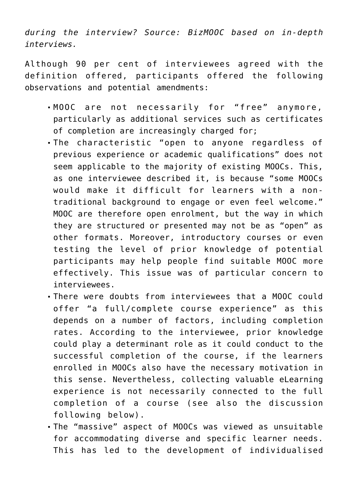*during the interview? Source: BizMOOC based on in-depth interviews.*

Although 90 per cent of interviewees agreed with the definition offered, participants offered the following observations and potential amendments:

- MOOC are not necessarily for "free" anymore, particularly as additional services such as certificates of completion are increasingly charged for;
- The characteristic "open to anyone regardless of previous experience or academic qualifications" does not seem applicable to the majority of existing MOOCs. This, as one interviewee described it, is because "some MOOCs would make it difficult for learners with a nontraditional background to engage or even feel welcome." MOOC are therefore open enrolment, but the way in which they are structured or presented may not be as "open" as other formats. Moreover, introductory courses or even testing the level of prior knowledge of potential participants may help people find suitable MOOC more effectively. This issue was of particular concern to interviewees.
- There were doubts from interviewees that a MOOC could offer "a full/complete course experience" as this depends on a number of factors, including completion rates. According to the interviewee, prior knowledge could play a determinant role as it could conduct to the successful completion of the course, if the learners enrolled in MOOCs also have the necessary motivation in this sense. Nevertheless, collecting valuable eLearning experience is not necessarily connected to the full completion of a course (see also the discussion following below).
- The "massive" aspect of MOOCs was viewed as unsuitable for accommodating diverse and specific learner needs. This has led to the development of individualised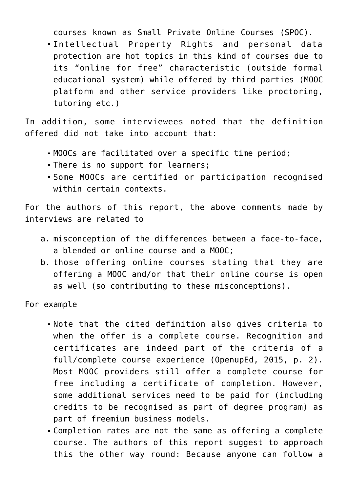courses known as Small Private Online Courses (SPOC).

Intellectual Property Rights and personal data protection are hot topics in this kind of courses due to its "online for free" characteristic (outside formal educational system) while offered by third parties (MOOC platform and other service providers like proctoring, tutoring etc.)

In addition, some interviewees noted that the definition offered did not take into account that:

- MOOCs are facilitated over a specific time period;
- There is no support for learners;
- Some MOOCs are certified or participation recognised within certain contexts.

For the authors of this report, the above comments made by interviews are related to

- a. misconception of the differences between a face-to-face, a blended or online course and a MOOC;
- b. those offering online courses stating that they are offering a MOOC and/or that their online course is open as well (so contributing to these misconceptions).

For example

- Note that the cited definition also gives criteria to when the offer is a complete course. Recognition and certificates are indeed part of the criteria of a full/complete course experience (OpenupEd, 2015, p. 2). Most MOOC providers still offer a complete course for free including a certificate of completion. However, some additional services need to be paid for (including credits to be recognised as part of degree program) as part of freemium business models.
- Completion rates are not the same as offering a complete course. The authors of this report suggest to approach this the other way round: Because anyone can follow a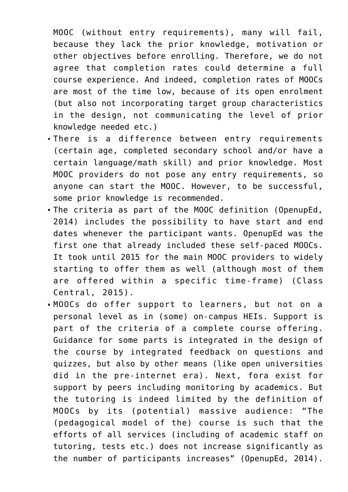MOOC (without entry requirements), many will fail, because they lack the prior knowledge, motivation or other objectives before enrolling. Therefore, we do not agree that completion rates could determine a full course experience. And indeed, completion rates of MOOCs are most of the time low, because of its open enrolment (but also not incorporating target group characteristics in the design, not communicating the level of prior knowledge needed etc.)

- There is a difference between entry requirements (certain age, completed secondary school and/or have a certain language/math skill) and prior knowledge. Most MOOC providers do not pose any entry requirements, so anyone can start the MOOC. However, to be successful, some prior knowledge is recommended.
- The criteria as part of the MOOC definition (OpenupEd, 2014) includes the possibility to have start and end dates whenever the participant wants. OpenupEd was the first one that already included these self-paced MOOCs. It took until 2015 for the main MOOC providers to widely starting to offer them as well (although most of them are offered within a specific time-frame) (Class Central, 2015).
- MOOCs do offer support to learners, but not on a personal level as in (some) on-campus HEIs. Support is part of the criteria of a complete course offering. Guidance for some parts is integrated in the design of the course by integrated feedback on questions and quizzes, but also by other means (like open universities did in the pre-internet era). Next, fora exist for support by peers including monitoring by academics. But the tutoring is indeed limited by the definition of MOOCs by its (potential) massive audience: "The (pedagogical model of the) course is such that the efforts of all services (including of academic staff on tutoring, tests etc.) does not increase significantly as the number of participants increases" (OpenupEd, 2014).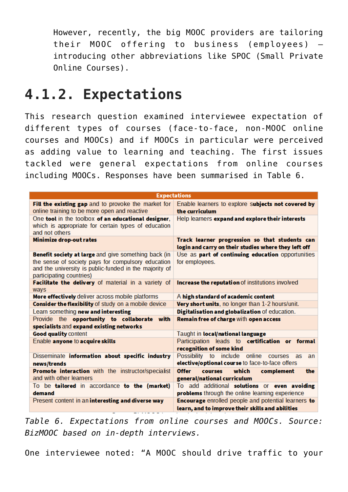However, recently, the big MOOC providers are tailoring their MOOC offering to business (employees) – introducing other abbreviations like SPOC (Small Private Online Courses).

#### **4.1.2. Expectations**

This research question examined interviewee expectation of different types of courses (face-to-face, non-MOOC online courses and MOOCs) and if MOOCs in particular were perceived as adding value to learning and teaching. The first issues tackled were general expectations from online courses including MOOCs. Responses have been summarised in Table 6.

|                                                                                                                                                                                                  | <b>Expectations</b>                                                                                                   |  |  |  |
|--------------------------------------------------------------------------------------------------------------------------------------------------------------------------------------------------|-----------------------------------------------------------------------------------------------------------------------|--|--|--|
| Fill the existing gap and to provoke the market for<br>online training to be more open and reactive                                                                                              | Enable learners to explore subjects not covered by<br>the curriculum                                                  |  |  |  |
| One tool in the toolbox of an educational designer,<br>which is appropriate for certain types of education<br>and not others                                                                     | Help learners expand and explore their interests                                                                      |  |  |  |
| <b>Minimize drop-out rates</b>                                                                                                                                                                   | Track learner progression so that students can<br>login and carry on their studies where they left off                |  |  |  |
| Benefit society at large and give something back (in<br>the sense of society pays for compulsory education<br>and the university is public-funded in the majority of<br>participating countries) | Use as part of continuing education opportunities<br>for employees.                                                   |  |  |  |
| Facilitate the delivery of material in a variety of<br>ways                                                                                                                                      | Increase the reputation of institutions involved                                                                      |  |  |  |
| More effectively deliver across mobile platforms                                                                                                                                                 | A high standard of academic content                                                                                   |  |  |  |
| Consider the flexibility of study on a mobile device                                                                                                                                             | Very short units, no longer than 1-2 hours/unit.                                                                      |  |  |  |
| Learn something new and interesting                                                                                                                                                              | Digitalisation and globalization of education.                                                                        |  |  |  |
| Provide the opportunity to collaborate with<br>specialists and expand existing networks                                                                                                          | Remain free of charge with open access                                                                                |  |  |  |
| <b>Good quality content</b>                                                                                                                                                                      | Taught in local/national language                                                                                     |  |  |  |
| Enable anyone to acquire skills                                                                                                                                                                  | Participation leads to certification or formal<br>recognition of some kind                                            |  |  |  |
| Disseminate information about specific industry<br>news/trends                                                                                                                                   | Possibility to include online<br><b>COUISES</b><br><b>as</b><br>an<br>elective/optional course to face-to-face offers |  |  |  |
| Promote interaction with the instructor/specialist<br>and with other learners                                                                                                                    | <b>Offer</b><br>which<br>the<br><b>courses</b><br>complement<br>general/national curriculum                           |  |  |  |
| To be tailored in accordance to the (market)<br>demand                                                                                                                                           | To add additional solutions or even avoiding<br>problems through the online learning experience                       |  |  |  |
| Present content in an interesting and diverse way                                                                                                                                                | <b>Encourage</b> enrolled people and potential learners to<br>learn, and to improve their skills and abilities        |  |  |  |

*Table 6. Expectations from online courses and MOOCs. Source: BizMOOC based on in-depth interviews.*

One interviewee noted: "A MOOC should drive traffic to your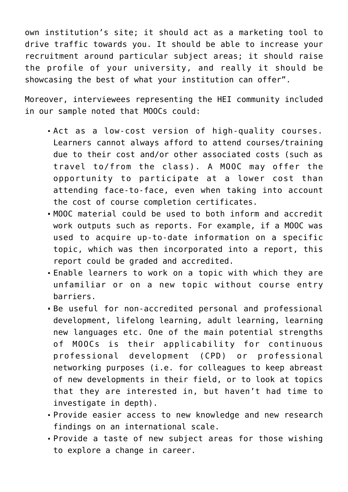own institution's site; it should act as a marketing tool to drive traffic towards you. It should be able to increase your recruitment around particular subject areas; it should raise the profile of your university, and really it should be showcasing the best of what your institution can offer".

Moreover, interviewees representing the HEI community included in our sample noted that MOOCs could:

- Act as a low-cost version of high-quality courses. Learners cannot always afford to attend courses/training due to their cost and/or other associated costs (such as travel to/from the class). A MOOC may offer the opportunity to participate at a lower cost than attending face-to-face, even when taking into account the cost of course completion certificates.
- MOOC material could be used to both inform and accredit work outputs such as reports. For example, if a MOOC was used to acquire up-to-date information on a specific topic, which was then incorporated into a report, this report could be graded and accredited.
- Enable learners to work on a topic with which they are unfamiliar or on a new topic without course entry barriers.
- Be useful for non-accredited personal and professional development, lifelong learning, adult learning, learning new languages etc. One of the main potential strengths of MOOCs is their applicability for continuous professional development (CPD) or professional networking purposes (i.e. for colleagues to keep abreast of new developments in their field, or to look at topics that they are interested in, but haven't had time to investigate in depth).
- Provide easier access to new knowledge and new research findings on an international scale.
- Provide a taste of new subject areas for those wishing to explore a change in career.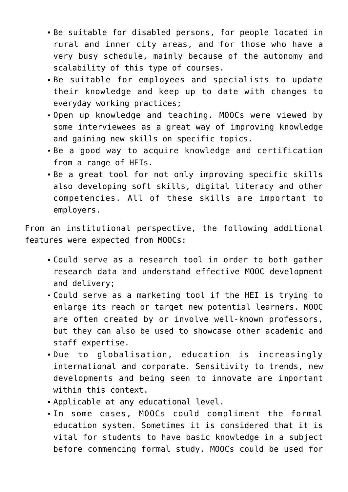- Be suitable for disabled persons, for people located in rural and inner city areas, and for those who have a very busy schedule, mainly because of the autonomy and scalability of this type of courses.
- Be suitable for employees and specialists to update their knowledge and keep up to date with changes to everyday working practices;
- Open up knowledge and teaching. MOOCs were viewed by some interviewees as a great way of improving knowledge and gaining new skills on specific topics.
- Be a good way to acquire knowledge and certification from a range of HEIs.
- Be a great tool for not only improving specific skills also developing soft skills, digital literacy and other competencies. All of these skills are important to employers.

From an institutional perspective, the following additional features were expected from MOOCs:

- Could serve as a research tool in order to both gather research data and understand effective MOOC development and delivery;
- Could serve as a marketing tool if the HEI is trying to enlarge its reach or target new potential learners. MOOC are often created by or involve well-known professors, but they can also be used to showcase other academic and staff expertise.
- Due to globalisation, education is increasingly international and corporate. Sensitivity to trends, new developments and being seen to innovate are important within this context.
- Applicable at any educational level.
- In some cases, MOOCs could compliment the formal education system. Sometimes it is considered that it is vital for students to have basic knowledge in a subject before commencing formal study. MOOCs could be used for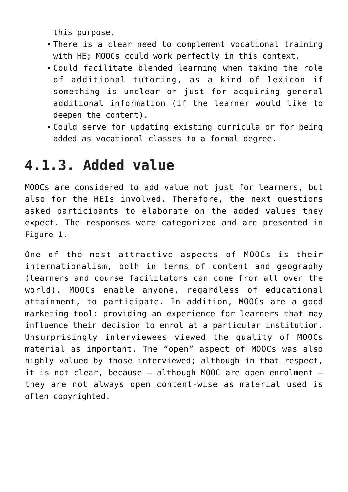this purpose.

- There is a clear need to complement vocational training with HE; MOOCs could work perfectly in this context.
- Could facilitate blended learning when taking the role of additional tutoring, as a kind of lexicon if something is unclear or just for acquiring general additional information (if the learner would like to deepen the content).
- Could serve for updating existing curricula or for being added as vocational classes to a formal degree.

#### **4.1.3. Added value**

MOOCs are considered to add value not just for learners, but also for the HEIs involved. Therefore, the next questions asked participants to elaborate on the added values they expect. The responses were categorized and are presented in Figure 1.

One of the most attractive aspects of MOOCs is their internationalism, both in terms of content and geography (learners and course facilitators can come from all over the world). MOOCs enable anyone, regardless of educational attainment, to participate. In addition, MOOCs are a good marketing tool: providing an experience for learners that may influence their decision to enrol at a particular institution. Unsurprisingly interviewees viewed the quality of MOOCs material as important. The "open" aspect of MOOCs was also highly valued by those interviewed; although in that respect, it is not clear, because – although MOOC are open enrolment – they are not always open content-wise as material used is often copyrighted.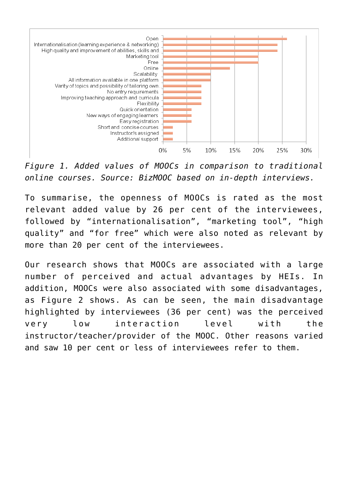

*Figure 1. Added values of MOOCs in comparison to traditional online courses. Source: BizMOOC based on in-depth interviews.*

To summarise, the openness of MOOCs is rated as the most relevant added value by 26 per cent of the interviewees, followed by "internationalisation", "marketing tool", "high quality" and "for free" which were also noted as relevant by more than 20 per cent of the interviewees.

Our research shows that MOOCs are associated with a large number of perceived and actual advantages by HEIs. In addition, MOOCs were also associated with some disadvantages, as Figure 2 shows. As can be seen, the main disadvantage highlighted by interviewees (36 per cent) was the perceived very low interaction level with the instructor/teacher/provider of the MOOC. Other reasons varied and saw 10 per cent or less of interviewees refer to them.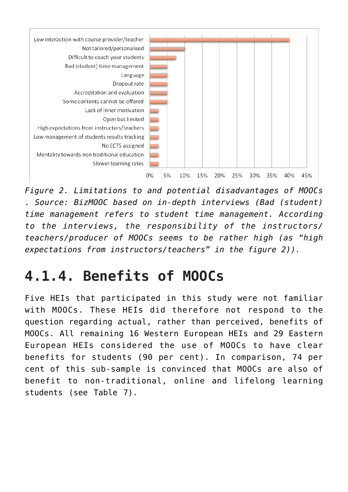

*Figure 2. Limitations to and potential disadvantages of MOOCs . Source: BizMOOC based on in-depth interviews (Bad (student) time management refers to student time management. According to the interviews, the responsibility of the instructors/ teachers/producer of MOOCs seems to be rather high (as "high expectations from instructors/teachers" in the figure 2)).*

### **4.1.4. Benefits of MOOCs**

Five HEIs that participated in this study were not familiar with MOOCs. These HEIs did therefore not respond to the question regarding actual, rather than perceived, benefits of MOOCs. All remaining 16 Western European HEIs and 29 Eastern European HEIs considered the use of MOOCs to have clear benefits for students (90 per cent). In comparison, 74 per cent of this sub-sample is convinced that MOOCs are also of benefit to non-traditional, online and lifelong learning students (see Table 7).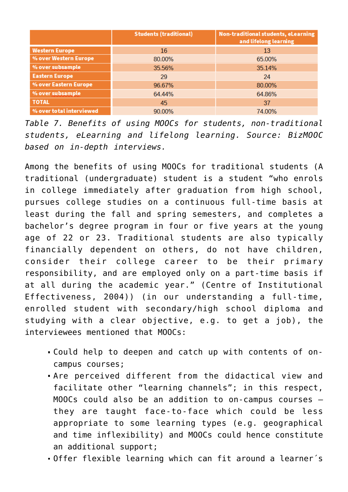|                          | <b>Students (traditional)</b> | Non-traditional students, eLearning<br>and lifelong learning |  |
|--------------------------|-------------------------------|--------------------------------------------------------------|--|
| <b>Western Europe</b>    | 16                            | 13                                                           |  |
| % over Western Europe    | 80.00%                        | 65.00%                                                       |  |
| % over subsample         | 35.56%                        | 35.14%                                                       |  |
| <b>Eastern Europe</b>    | 29                            | 24                                                           |  |
| % over Eastern Europe    | 96.67%                        | 80.00%                                                       |  |
| % over subsample         | 64.44%                        | 64.86%                                                       |  |
| <b>TOTAL</b>             | 45                            | 37                                                           |  |
| % over total interviewed | 90.00%                        | 74.00%                                                       |  |

*Table 7. Benefits of using MOOCs for students, non-traditional students, eLearning and lifelong learning. Source: BizMOOC based on in-depth interviews.*

Among the benefits of using MOOCs for traditional students (A traditional (undergraduate) student is a student "who enrols in college immediately after graduation from high school, pursues college studies on a continuous full-time basis at least during the fall and spring semesters, and completes a bachelor's degree program in four or five years at the young age of 22 or 23. Traditional students are also typically financially dependent on others, do not have children, consider their college career to be their primary responsibility, and are employed only on a part-time basis if at all during the academic year." (Centre of Institutional Effectiveness, 2004)) (in our understanding a full-time, enrolled student with secondary/high school diploma and studying with a clear objective, e.g. to get a job), the interviewees mentioned that MOOCs:

- Could help to deepen and catch up with contents of oncampus courses;
- Are perceived different from the didactical view and facilitate other "learning channels"; in this respect, MOOCs could also be an addition to on-campus courses – they are taught face-to-face which could be less appropriate to some learning types (e.g. geographical and time inflexibility) and MOOCs could hence constitute an additional support;
- Offer flexible learning which can fit around a learner´s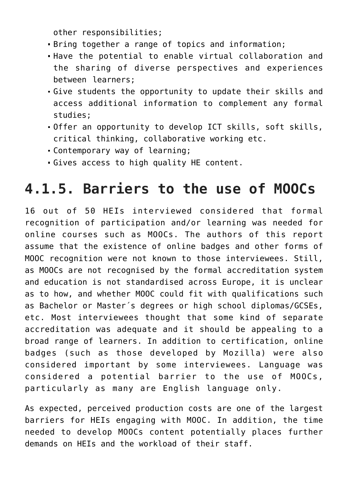other responsibilities;

- Bring together a range of topics and information;
- Have the potential to enable virtual collaboration and the sharing of diverse perspectives and experiences between learners;
- Give students the opportunity to update their skills and access additional information to complement any formal studies;
- Offer an opportunity to develop ICT skills, soft skills, critical thinking, collaborative working etc.
- Contemporary way of learning;
- Gives access to high quality HE content.

### **4.1.5. Barriers to the use of MOOCs**

16 out of 50 HEIs interviewed considered that formal recognition of participation and/or learning was needed for online courses such as MOOCs. The authors of this report assume that the existence of online badges and other forms of MOOC recognition were not known to those interviewees. Still, as MOOCs are not recognised by the formal accreditation system and education is not standardised across Europe, it is unclear as to how, and whether MOOC could fit with qualifications such as Bachelor or Master´s degrees or high school diplomas/GCSEs, etc. Most interviewees thought that some kind of separate accreditation was adequate and it should be appealing to a broad range of learners. In addition to certification, online badges (such as those developed by Mozilla) were also considered important by some interviewees. Language was considered a potential barrier to the use of MOOCs, particularly as many are English language only.

As expected, perceived production costs are one of the largest barriers for HEIs engaging with MOOC. In addition, the time needed to develop MOOCs content potentially places further demands on HEIs and the workload of their staff.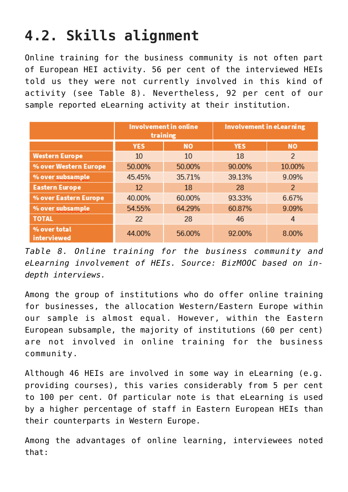# **4.2. Skills alignment**

Online training for the business community is not often part of European HEI activity. 56 per cent of the interviewed HEIs told us they were not currently involved in this kind of activity (see Table 8). Nevertheless, 92 per cent of our sample reported eLearning activity at their institution.

|                                    | <b>Involvement in online</b><br>training |        | Involvement in eLearning |                |  |
|------------------------------------|------------------------------------------|--------|--------------------------|----------------|--|
|                                    | <b>YES</b><br><b>NO</b>                  |        | <b>YES</b>               | <b>NO</b>      |  |
| <b>Western Europe</b>              | 10                                       | 10     | 18                       | $\overline{2}$ |  |
| % over Western Europe              | 50.00%                                   | 50.00% | 90.00%                   | 10.00%         |  |
| % over subsample                   | 45.45%                                   | 35.71% | 39.13%                   | 9.09%          |  |
| <b>Eastern Europe</b>              | 12                                       | 18     | 28                       | $\overline{2}$ |  |
| % over Eastern Europe              | 40.00%                                   | 60.00% | 93.33%                   | 6.67%          |  |
| % over subsample                   | 54.55%                                   | 64.29% | 60.87%                   | 9.09%          |  |
| <b>TOTAL</b>                       | 22                                       | 28     | 46                       | 4              |  |
| % over total<br><b>interviewed</b> | 44.00%                                   | 56.00% | 92.00%                   | 8.00%          |  |

*Table 8. Online training for the business community and eLearning involvement of HEIs. Source: BizMOOC based on indepth interviews.*

Among the group of institutions who do offer online training for businesses, the allocation Western/Eastern Europe within our sample is almost equal. However, within the Eastern European subsample, the majority of institutions (60 per cent) are not involved in online training for the business community.

Although 46 HEIs are involved in some way in eLearning (e.g. providing courses), this varies considerably from 5 per cent to 100 per cent. Of particular note is that eLearning is used by a higher percentage of staff in Eastern European HEIs than their counterparts in Western Europe.

Among the advantages of online learning, interviewees noted that: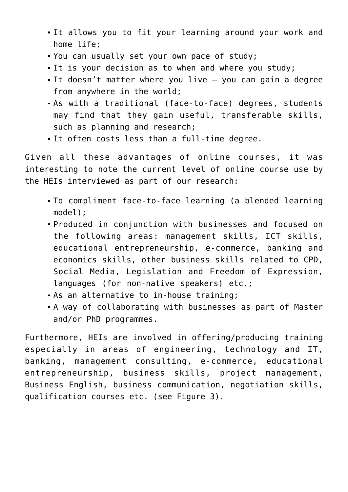- It allows you to fit your learning around your work and home life;
- You can usually set your own pace of study;
- It is your decision as to when and where you study;
- It doesn't matter where you live you can gain a degree from anywhere in the world;
- As with a traditional (face-to-face) degrees, students may find that they gain useful, transferable skills, such as planning and research;
- It often costs less than a full-time degree.

Given all these advantages of online courses, it was interesting to note the current level of online course use by the HEIs interviewed as part of our research:

- To compliment face-to-face learning (a blended learning model);
- Produced in conjunction with businesses and focused on the following areas: management skills, ICT skills, educational entrepreneurship, e-commerce, banking and economics skills, other business skills related to CPD, Social Media, Legislation and Freedom of Expression, languages (for non-native speakers) etc.;
- As an alternative to in-house training;
- A way of collaborating with businesses as part of Master and/or PhD programmes.

Furthermore, HEIs are involved in offering/producing training especially in areas of engineering, technology and IT, banking, management consulting, e-commerce, educational entrepreneurship, business skills, project management, Business English, business communication, negotiation skills, qualification courses etc. (see Figure 3).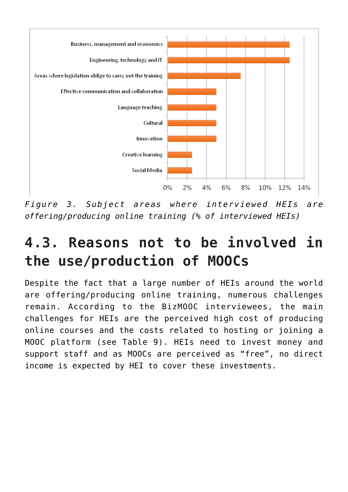

*Figure 3. Subject areas where interviewed HEIs are offering/producing online training (% of interviewed HEIs)*

### **4.3. Reasons not to be involved in the use/production of MOOCs**

Despite the fact that a large number of HEIs around the world are offering/producing online training, numerous challenges remain. According to the BizMOOC interviewees, the main challenges for HEIs are the perceived high cost of producing online courses and the costs related to hosting or joining a MOOC platform (see Table 9). HEIs need to invest money and support staff and as MOOCs are perceived as "free", no direct income is expected by HEI to cover these investments.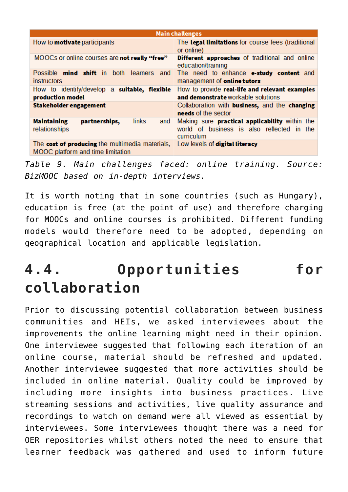| <b>Main challenges</b>                                                               |                                                                                                                   |  |  |
|--------------------------------------------------------------------------------------|-------------------------------------------------------------------------------------------------------------------|--|--|
| How to <b>motivate</b> participants                                                  | The legal limitations for course fees (traditional<br>or online)                                                  |  |  |
| MOOCs or online courses are not really "free"                                        | <b>Different approaches</b> of traditional and online<br>education/training                                       |  |  |
| Possible <b>mind shift</b> in both learners and<br><i>instructors</i>                | The need to enhance e-study content and<br>management of online tutors                                            |  |  |
| How to identify/develop a suitable, flexible<br>production model                     | How to provide real-life and relevant examples<br>and demonstrate workable solutions                              |  |  |
| Stakeholder engagement                                                               | Collaboration with business, and the changing<br>needs of the sector                                              |  |  |
| <b>Maintaining</b><br>partnerships,<br>links<br>and<br>relationships                 | Making sure <b>practical applicability</b> within the<br>world of business is also reflected in the<br>curriculum |  |  |
| The cost of producing the multimedia materials,<br>MOOC platform and time limitation | Low levels of digital literacy                                                                                    |  |  |

*Table 9. Main challenges faced: online training. Source: BizMOOC based on in-depth interviews.*

It is worth noting that in some countries (such as Hungary), education is free (at the point of use) and therefore charging for MOOCs and online courses is prohibited. Different funding models would therefore need to be adopted, depending on geographical location and applicable legislation.

### **4.4. Opportunities for collaboration**

Prior to discussing potential collaboration between business communities and HEIs, we asked interviewees about the improvements the online learning might need in their opinion. One interviewee suggested that following each iteration of an online course, material should be refreshed and updated. Another interviewee suggested that more activities should be included in online material. Quality could be improved by including more insights into business practices. Live streaming sessions and activities, live quality assurance and recordings to watch on demand were all viewed as essential by interviewees. Some interviewees thought there was a need for OER repositories whilst others noted the need to ensure that learner feedback was gathered and used to inform future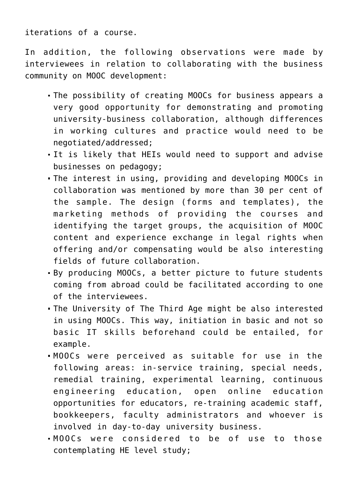iterations of a course.

In addition, the following observations were made by interviewees in relation to collaborating with the business community on MOOC development:

- The possibility of creating MOOCs for business appears a very good opportunity for demonstrating and promoting university-business collaboration, although differences in working cultures and practice would need to be negotiated/addressed;
- It is likely that HEIs would need to support and advise businesses on pedagogy;
- The interest in using, providing and developing MOOCs in collaboration was mentioned by more than 30 per cent of the sample. The design (forms and templates), the marketing methods of providing the courses and identifying the target groups, the acquisition of MOOC content and experience exchange in legal rights when offering and/or compensating would be also interesting fields of future collaboration.
- By producing MOOCs, a better picture to future students coming from abroad could be facilitated according to one of the interviewees.
- The University of The Third Age might be also interested in using MOOCs. This way, initiation in basic and not so basic IT skills beforehand could be entailed, for example.
- MOOCs were perceived as suitable for use in the following areas: in-service training, special needs, remedial training, experimental learning, continuous engineering education, open online education opportunities for educators, re-training academic staff, bookkeepers, faculty administrators and whoever is involved in day-to-day university business.
- MOOCs were considered to be of use to those contemplating HE level study;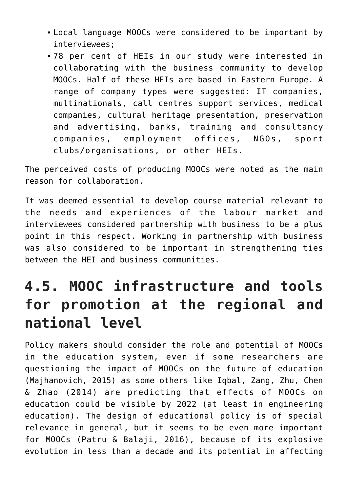- Local language MOOCs were considered to be important by interviewees;
- 78 per cent of HEIs in our study were interested in collaborating with the business community to develop MOOCs. Half of these HEIs are based in Eastern Europe. A range of company types were suggested: IT companies, multinationals, call centres support services, medical companies, cultural heritage presentation, preservation and advertising, banks, training and consultancy companies, employment offices, NGOs, sport clubs/organisations, or other HEIs.

The perceived costs of producing MOOCs were noted as the main reason for collaboration.

It was deemed essential to develop course material relevant to the needs and experiences of the labour market and interviewees considered partnership with business to be a plus point in this respect. Working in partnership with business was also considered to be important in strengthening ties between the HEI and business communities.

### **4.5. MOOC infrastructure and tools for promotion at the regional and national level**

Policy makers should consider the role and potential of MOOCs in the education system, even if some researchers are questioning the impact of MOOCs on the future of education (Majhanovich, 2015) as some others like Iqbal, Zang, Zhu, Chen & Zhao (2014) are predicting that effects of MOOCs on education could be visible by 2022 (at least in engineering education). The design of educational policy is of special relevance in general, but it seems to be even more important for MOOCs (Patru & Balaji, 2016), because of its explosive evolution in less than a decade and its potential in affecting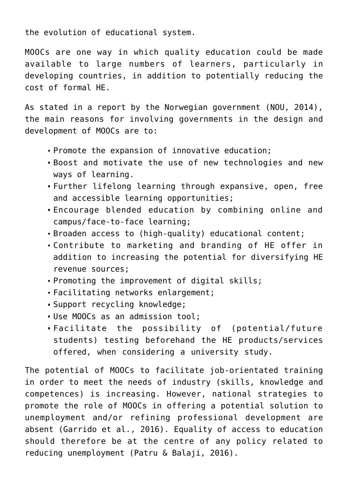the evolution of educational system.

MOOCs are one way in which quality education could be made available to large numbers of learners, particularly in developing countries, in addition to potentially reducing the cost of formal HE.

As stated in a report by the Norwegian government (NOU, 2014), the main reasons for involving governments in the design and development of MOOCs are to:

- Promote the expansion of innovative education;
- Boost and motivate the use of new technologies and new ways of learning.
- Further lifelong learning through expansive, open, free and accessible learning opportunities;
- Encourage blended education by combining online and campus/face-to-face learning;
- Broaden access to (high-quality) educational content;
- Contribute to marketing and branding of HE offer in addition to increasing the potential for diversifying HE revenue sources;
- Promoting the improvement of digital skills;
- Facilitating networks enlargement;
- Support recycling knowledge;
- Use MOOCs as an admission tool;
- Facilitate the possibility of (potential/future students) testing beforehand the HE products/services offered, when considering a university study.

The potential of MOOCs to facilitate job-orientated training in order to meet the needs of industry (skills, knowledge and competences) is increasing. However, national strategies to promote the role of MOOCs in offering a potential solution to unemployment and/or refining professional development are absent (Garrido et al., 2016). Equality of access to education should therefore be at the centre of any policy related to reducing unemployment (Patru & Balaji, 2016).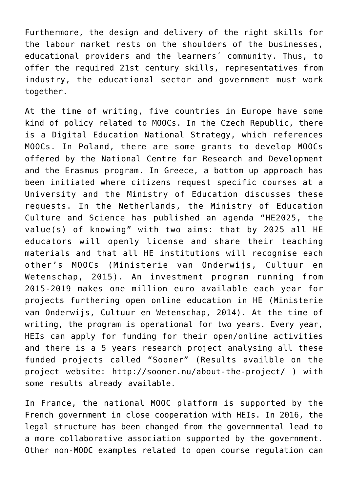Furthermore, the design and delivery of the right skills for the labour market rests on the shoulders of the businesses, educational providers and the learners´ community. Thus, to offer the required 21st century skills, representatives from industry, the educational sector and government must work together.

At the time of writing, five countries in Europe have some kind of policy related to MOOCs. In the Czech Republic, there is a Digital Education National Strategy, which references MOOCs. In Poland, there are some grants to develop MOOCs offered by the National Centre for Research and Development and the Erasmus program. In Greece, a bottom up approach has been initiated where citizens request specific courses at a University and the Ministry of Education discusses these requests. In the Netherlands, the Ministry of Education Culture and Science has published an agenda "HE2025, the value(s) of knowing" with two aims: that by 2025 all HE educators will openly license and share their teaching materials and that all HE institutions will recognise each other's MOOCs (Ministerie van Onderwijs, Cultuur en Wetenschap, 2015). An investment program running from 2015-2019 makes one million euro available each year for projects furthering open online education in HE (Ministerie van Onderwijs, Cultuur en Wetenschap, 2014). At the time of writing, the program is operational for two years. Every year, HEIs can apply for funding for their open/online activities and there is a 5 years research project analysing all these funded projects called "Sooner" (Results availble on the project website: <http://sooner.nu/about-the-project/> ) with some results already available.

In France, the national MOOC platform is supported by the French government in close cooperation with HEIs. In 2016, the legal structure has been changed from the governmental lead to a more collaborative association supported by the government. Other non-MOOC examples related to open course regulation can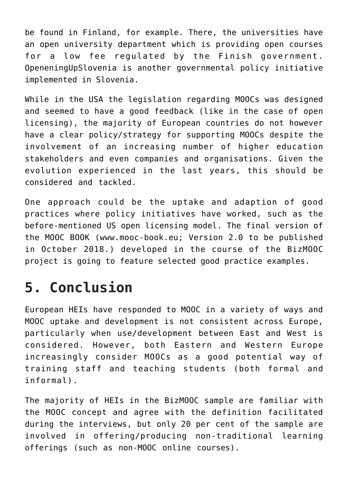be found in Finland, for example. There, the universities have an open university department which is providing open courses for a low fee regulated by the Finish government. OpeneningUpSlovenia is another governmental policy initiative implemented in Slovenia.

While in the USA the legislation regarding MOOCs was designed and seemed to have a good feedback (like in the case of open licensing), the majority of European countries do not however have a clear policy/strategy for supporting MOOCs despite the involvement of an increasing number of higher education stakeholders and even companies and organisations. Given the evolution experienced in the last years, this should be considered and tackled.

One approach could be the uptake and adaption of good practices where policy initiatives have worked, such as the before-mentioned US open licensing model. The final version of the MOOC BOOK ([www.mooc-book.eu](http://www.mooc-book.eu); Version 2.0 to be published in October 2018.) developed in the course of the BizMOOC project is going to feature selected good practice examples.

# **5. Conclusion**

European HEIs have responded to MOOC in a variety of ways and MOOC uptake and development is not consistent across Europe, particularly when use/development between East and West is considered. However, both Eastern and Western Europe increasingly consider MOOCs as a good potential way of training staff and teaching students (both formal and informal).

The majority of HEIs in the BizMOOC sample are familiar with the MOOC concept and agree with the definition facilitated during the interviews, but only 20 per cent of the sample are involved in offering/producing non-traditional learning offerings (such as non-MOOC online courses).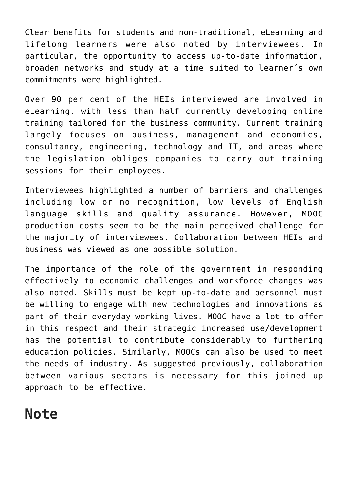Clear benefits for students and non-traditional, eLearning and lifelong learners were also noted by interviewees. In particular, the opportunity to access up-to-date information, broaden networks and study at a time suited to learner´s own commitments were highlighted.

Over 90 per cent of the HEIs interviewed are involved in eLearning, with less than half currently developing online training tailored for the business community. Current training largely focuses on business, management and economics, consultancy, engineering, technology and IT, and areas where the legislation obliges companies to carry out training sessions for their employees.

Interviewees highlighted a number of barriers and challenges including low or no recognition, low levels of English language skills and quality assurance. However, MOOC production costs seem to be the main perceived challenge for the majority of interviewees. Collaboration between HEIs and business was viewed as one possible solution.

The importance of the role of the government in responding effectively to economic challenges and workforce changes was also noted. Skills must be kept up-to-date and personnel must be willing to engage with new technologies and innovations as part of their everyday working lives. MOOC have a lot to offer in this respect and their strategic increased use/development has the potential to contribute considerably to furthering education policies. Similarly, MOOCs can also be used to meet the needs of industry. As suggested previously, collaboration between various sectors is necessary for this joined up approach to be effective.

#### **Note**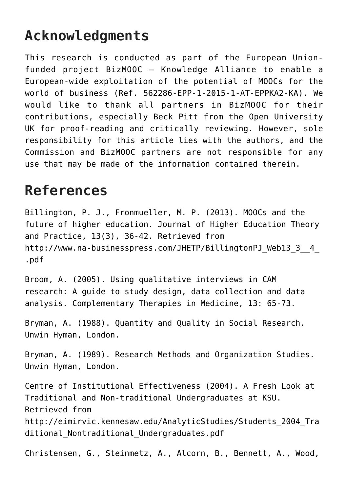### **Acknowledgments**

This research is conducted as part of the European Unionfunded project BizMOOC – Knowledge Alliance to enable a European-wide exploitation of the potential of MOOCs for the world of business (Ref. 562286-EPP-1-2015-1-AT-EPPKA2-KA). We would like to thank all partners in BizMOOC for their contributions, especially Beck Pitt from the Open University UK for proof-reading and critically reviewing. However, sole responsibility for this article lies with the authors, and the Commission and BizMOOC partners are not responsible for any use that may be made of the information contained therein.

#### **References**

Billington, P. J., Fronmueller, M. P. (2013). MOOCs and the future of higher education. Journal of Higher Education Theory and Practice, 13(3), 36-42. Retrieved from http://www.na-businesspress.com/JHETP/BillingtonPJ\_Web13\_3\_4\_ [.pdf](http://www.na-businesspress.com/JHETP/BillingtonPJ_Web13_3__4_.pdf)

Broom, A. (2005). Using qualitative interviews in CAM research: A guide to study design, data collection and data analysis. Complementary Therapies in Medicine, 13: 65-73.

Bryman, A. (1988). Quantity and Quality in Social Research. Unwin Hyman, London.

Bryman, A. (1989). Research Methods and Organization Studies. Unwin Hyman, London.

Centre of Institutional Effectiveness (2004). A Fresh Look at Traditional and Non-traditional Undergraduates at KSU. Retrieved from [http://eimirvic.kennesaw.edu/AnalyticStudies/Students\\_2004\\_Tra](http://eimirvic.kennesaw.edu/AnalyticStudies/Students_2004_Traditional_Nontraditional_Undergraduates.pdf) ditional Nontraditional Undergraduates.pdf

Christensen, G., Steinmetz, A., Alcorn, B., Bennett, A., Wood,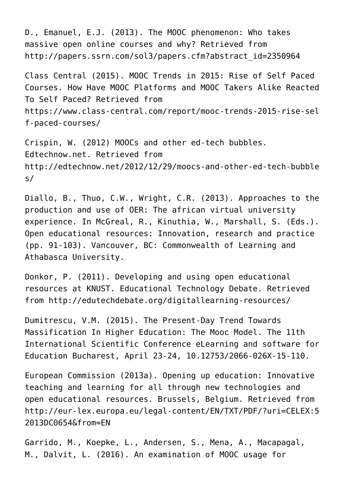D., Emanuel, E.J. (2013). The MOOC phenomenon: Who takes massive open online courses and why? Retrieved from [http://papers.ssrn.com/sol3/papers.cfm?abstract\\_id=2350964](http://papers.ssrn.com/sol3/papers.cfm?abstract_id=2350964)

Class Central (2015). MOOC Trends in 2015: Rise of Self Paced Courses. How Have MOOC Platforms and MOOC Takers Alike Reacted To Self Paced? Retrieved from [https://www.class-central.com/report/mooc-trends-2015-rise-sel](https://www.class-central.com/report/mooc-trends-2015-rise-self-paced-courses/) [f-paced-courses/](https://www.class-central.com/report/mooc-trends-2015-rise-self-paced-courses/)

Crispin, W. (2012) MOOCs and other ed-tech bubbles. Edtechnow.net. Retrieved from [http://edtechnow.net/2012/12/29/moocs-and-other-ed-tech-bubble](http://edtechnow.net/2012/12/29/moocs-and-other-ed-tech-bubbles/) [s/](http://edtechnow.net/2012/12/29/moocs-and-other-ed-tech-bubbles/)

Diallo, B., Thuo, C.W., Wright, C.R. (2013). Approaches to the production and use of OER: The african virtual university experience. In McGreal, R., Kinuthia, W., Marshall, S. (Eds.). Open educational resources: Innovation, research and practice (pp. 91-103). Vancouver, BC: Commonwealth of Learning and Athabasca University.

Donkor, P. (2011). Developing and using open educational resources at KNUST. Educational Technology Debate. Retrieved from<http://edutechdebate.org/digitallearning-resources/>

Dumitrescu, V.M. (2015). The Present-Day Trend Towards Massification In Higher Education: The Mooc Model. The 11th International Scientific Conference eLearning and software for Education Bucharest, April 23-24, 10.12753/2066-026X-15-110.

European Commission (2013a). Opening up education: Innovative teaching and learning for all through new technologies and open educational resources. Brussels, Belgium. Retrieved from [http://eur-lex.europa.eu/legal-content/EN/TXT/PDF/?uri=CELEX:5](http://eur-lex.europa.eu/legal-content/EN/TXT/PDF/?uri=CELEX:52013DC0654&from=EN) [2013DC0654&from=EN](http://eur-lex.europa.eu/legal-content/EN/TXT/PDF/?uri=CELEX:52013DC0654&from=EN)

Garrido, M., Koepke, L., Andersen, S., Mena, A., Macapagal, M., Dalvit, L. (2016). An examination of MOOC usage for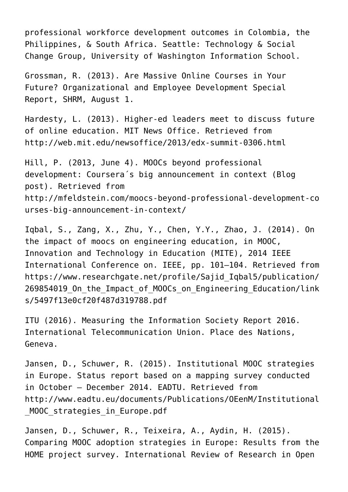professional workforce development outcomes in Colombia, the Philippines, & South Africa. Seattle: Technology & Social Change Group, University of Washington Information School.

Grossman, R. (2013). Are Massive Online Courses in Your Future? Organizational and Employee Development Special Report, SHRM, August 1.

Hardesty, L. (2013). Higher-ed leaders meet to discuss future of online education. MIT News Office. Retrieved from <http://web.mit.edu/newsoffice/2013/edx-summit-0306.html>

Hill, P. (2013, June 4). MOOCs beyond professional development: Coursera´s big announcement in context (Blog post). Retrieved from [http://mfeldstein.com/moocs-beyond-professional-development-co](http://mfeldstein.com/moocs-beyond-professional-development-courses-big-announcement-in-context/) [urses-big-announcement-in-context/](http://mfeldstein.com/moocs-beyond-professional-development-courses-big-announcement-in-context/)

Iqbal, S., Zang, X., Zhu, Y., Chen, Y.Y., Zhao, J. (2014). On the impact of moocs on engineering education, in MOOC, Innovation and Technology in Education (MITE), 2014 IEEE International Conference on. IEEE, pp. 101–104. Retrieved from [https://www.researchgate.net/profile/Sajid\\_Iqbal5/publication/](https://www.researchgate.net/profile/Sajid_Iqbal5/publication/269854019_On_the_Impact_of_MOOCs_on_Engineering_Education/links/5497f13e0cf20f487d319788.pdf) 269854019 On the Impact of MOOCs on Engineering Education/link [s/5497f13e0cf20f487d319788.pdf](https://www.researchgate.net/profile/Sajid_Iqbal5/publication/269854019_On_the_Impact_of_MOOCs_on_Engineering_Education/links/5497f13e0cf20f487d319788.pdf)

ITU (2016). Measuring the Information Society Report 2016. International Telecommunication Union. Place des Nations, Geneva.

Jansen, D., Schuwer, R. (2015). Institutional MOOC strategies in Europe. Status report based on a mapping survey conducted in October – December 2014. EADTU. Retrieved from [http://www.eadtu.eu/documents/Publications/OEenM/Institutional](http://www.eadtu.eu/documents/Publications/OEenM/Institutional_MOOC_strategies_in_Europe.pdf) MOOC strategies in Europe.pdf

Jansen, D., Schuwer, R., Teixeira, A., Aydin, H. (2015). Comparing MOOC adoption strategies in Europe: Results from the HOME project survey. International Review of Research in Open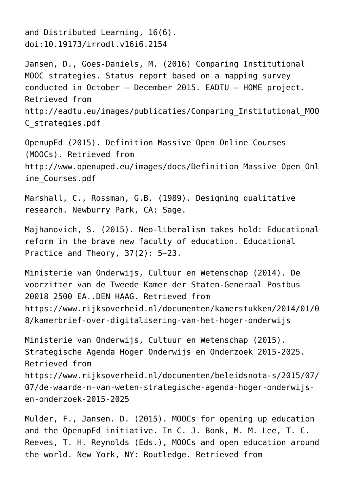and Distributed Learning, 16(6). doi:10.19173/irrodl.v16i6.2154

Jansen, D., Goes-Daniels, M. (2016) Comparing Institutional MOOC strategies. Status report based on a mapping survey conducted in October – December 2015. EADTU – HOME project. Retrieved from [http://eadtu.eu/images/publicaties/Comparing\\_Institutional\\_MOO](http://eadtu.eu/images/publicaties/Comparing_Institutional_MOOC_strategies.pdf) [C\\_strategies.pdf](http://eadtu.eu/images/publicaties/Comparing_Institutional_MOOC_strategies.pdf)

OpenupEd (2015). Definition Massive Open Online Courses (MOOCs). Retrieved from [http://www.openuped.eu/images/docs/Definition\\_Massive\\_Open\\_Onl](http://www.openuped.eu/images/docs/Definition_Massive_Open_Online_Courses.pdf) [ine\\_Courses.pdf](http://www.openuped.eu/images/docs/Definition_Massive_Open_Online_Courses.pdf)

Marshall, C., Rossman, G.B. (1989). Designing qualitative research. Newburry Park, CA: Sage.

Majhanovich, S. (2015). Neo-liberalism takes hold: Educational reform in the brave new faculty of education. Educational Practice and Theory, 37(2): 5–23.

Ministerie van Onderwijs, Cultuur en Wetenschap (2014). De voorzitter van de Tweede Kamer der Staten-Generaal Postbus 20018 2500 EA..DEN HAAG. Retrieved from [https://www.rijksoverheid.nl/documenten/kamerstukken/2014/01/0](https://www.rijksoverheid.nl/documenten/kamerstukken/2014/01/08/kamerbrief-over-digitalisering-van-het-hoger-onderwijs) [8/kamerbrief-over-digitalisering-van-het-hoger-onderwijs](https://www.rijksoverheid.nl/documenten/kamerstukken/2014/01/08/kamerbrief-over-digitalisering-van-het-hoger-onderwijs)

Ministerie van Onderwijs, Cultuur en Wetenschap (2015). Strategische Agenda Hoger Onderwijs en Onderzoek 2015-2025. Retrieved from [https://www.rijksoverheid.nl/documenten/beleidsnota-s/2015/07/](https://www.rijksoverheid.nl/documenten/beleidsnota-s/2015/07/07/de-waarde-n-van-weten-strategische-agenda-hoger-onderwijs-en-onderzoek-2015-2025) [07/de-waarde-n-van-weten-strategische-agenda-hoger-onderwijs](https://www.rijksoverheid.nl/documenten/beleidsnota-s/2015/07/07/de-waarde-n-van-weten-strategische-agenda-hoger-onderwijs-en-onderzoek-2015-2025)[en-onderzoek-2015-2025](https://www.rijksoverheid.nl/documenten/beleidsnota-s/2015/07/07/de-waarde-n-van-weten-strategische-agenda-hoger-onderwijs-en-onderzoek-2015-2025)

Mulder, F., Jansen. D. (2015). MOOCs for opening up education and the OpenupEd initiative. In C. J. Bonk, M. M. Lee, T. C. Reeves, T. H. Reynolds (Eds.), MOOCs and open education around the world. New York, NY: Routledge. Retrieved from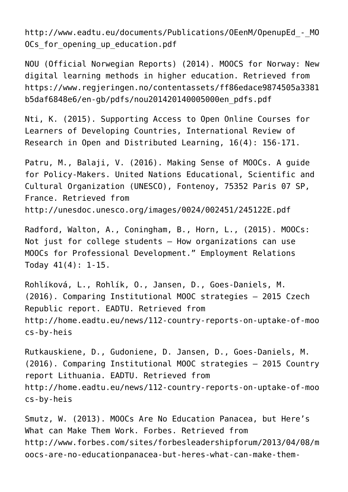[http://www.eadtu.eu/documents/Publications/OEenM/OpenupEd\\_-\\_MO](http://www.eadtu.eu/documents/Publications/OEenM/OpenupEd_-_MOOCs_for_opening_up_education.pdf) OCs for opening up education.pdf

NOU (Official Norwegian Reports) (2014). MOOCS for Norway: New digital learning methods in higher education. Retrieved from https://www.regieringen.no/contentassets/ff86edace9874505a3381 [b5daf6848e6/en-gb/pdfs/nou201420140005000en\\_pdfs.pdf](https://www.regjeringen.no/contentassets/ff86edace9874505a3381b5daf6848e6/en-gb/pdfs/nou201420140005000en_pdfs.pdf)

Nti, K. (2015). Supporting Access to Open Online Courses for Learners of Developing Countries, International Review of Research in Open and Distributed Learning, 16(4): 156-171.

Patru, M., Balaji, V. (2016). Making Sense of MOOCs. A quide for Policy-Makers. United Nations Educational, Scientific and Cultural Organization (UNESCO), Fontenoy, 75352 Paris 07 SP, France. Retrieved from <http://unesdoc.unesco.org/images/0024/002451/245122E.pdf>

Radford, Walton, A., Coningham, B., Horn, L., (2015). MOOCs: Not just for college students – How organizations can use MOOCs for Professional Development." Employment Relations Today 41(4): 1-15.

Rohlíková, L., Rohlík, O., Jansen, D., Goes-Daniels, M. (2016). Comparing Institutional MOOC strategies – 2015 Czech Republic report. EADTU. Retrieved from [http://home.eadtu.eu/news/112-country-reports-on-uptake-of-moo](http://home.eadtu.eu/news/112-country-reports-on-uptake-of-moocs-by-heis) [cs-by-heis](http://home.eadtu.eu/news/112-country-reports-on-uptake-of-moocs-by-heis)

Rutkauskiene, D., Gudoniene, D. Jansen, D., Goes-Daniels, M. (2016). Comparing Institutional MOOC strategies – 2015 Country report Lithuania. EADTU. Retrieved from [http://home.eadtu.eu/news/112-country-reports-on-uptake-of-moo](http://home.eadtu.eu/news/112-country-reports-on-uptake-of-moocs-by-heis) [cs-by-heis](http://home.eadtu.eu/news/112-country-reports-on-uptake-of-moocs-by-heis)

Smutz, W. (2013). MOOCs Are No Education Panacea, but Here's What can Make Them Work. Forbes. Retrieved from [http://www.forbes.com/sites/forbesleadershipforum/2013/04/08/m](http://www.forbes.com/sites/forbesleadershipforum/2013/04/08/moocs-are-no-educationpanacea-but-heres-what-can-make-them-work/?cid=dlvr.it) [oocs-are-no-educationpanacea-but-heres-what-can-make-them-](http://www.forbes.com/sites/forbesleadershipforum/2013/04/08/moocs-are-no-educationpanacea-but-heres-what-can-make-them-work/?cid=dlvr.it)